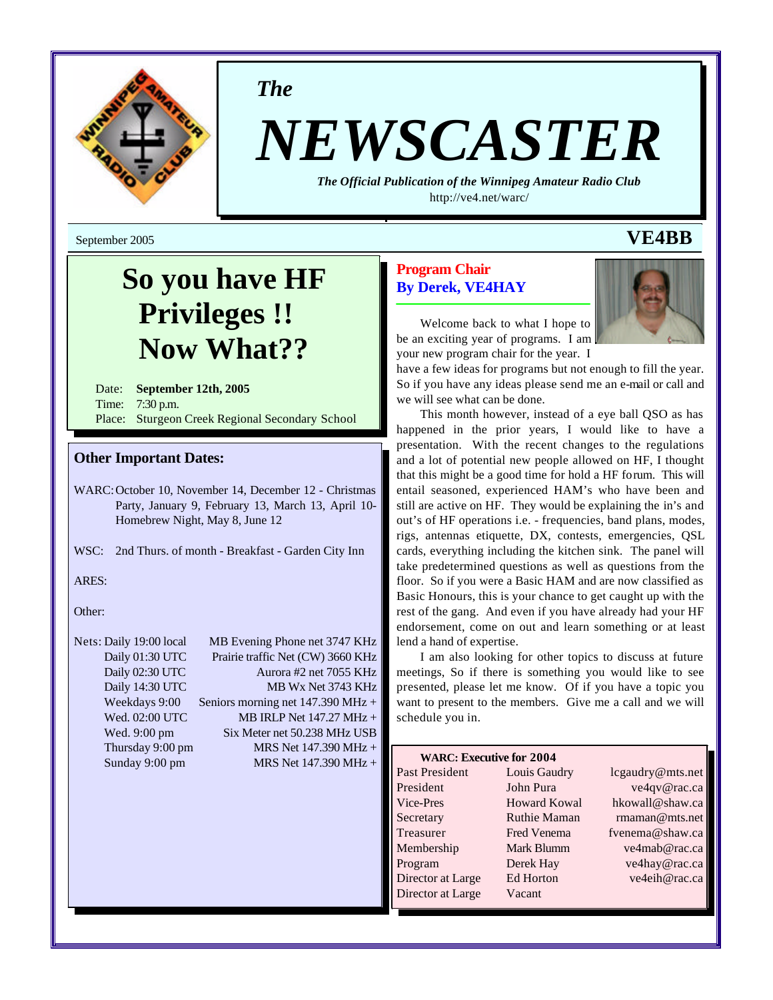

*The*

# *NEWSCASTER*

*The Official Publication of the Winnipeg Amateur Radio Club* <http://ve4.net/warc/>

September 2005 **VE4BB**

# **So you have HF Privileges !! Now What??**

Date: **September 12th, 2005** Time: 7:30 p.m. Place: Sturgeon Creek Regional Secondary School

### **Other Important Dates:**

WARC:October 10, November 14, December 12 - Christmas Party, January 9, February 13, March 13, April 10- Homebrew Night, May 8, June 12

WSC: 2nd Thurs. of month - Breakfast - Garden City Inn

ARES:

Other:

## Nets: Daily 19:00 local MB Evening Phone net 3747 KHz Daily 01:30 UTC Prairie traffic Net (CW) 3660 KHz Daily 02:30 UTC Aurora #2 net 7055 KHz Daily 14:30 UTC MB Wx Net 3743 KHz Weekdays 9:00 Seniors morning net 147.390 MHz + Wed.  $02:00$  UTC MB IRLP Net  $147.27$  MHz + Wed. 9:00 pm Six Meter net 50.238 MHz USB Thursday 9:00 pm MRS Net 147.390 MHz + Sunday 9:00 pm MRS Net 147.390 MHz +

# **Program Chair By Derek, VE4HAY**



Welcome back to what I hope to be an exciting year of programs. I am your new program chair for the year. I

have a few ideas for programs but not enough to fill the year. So if you have any ideas please send me an e-mail or call and we will see what can be done.

This month however, instead of a eye ball QSO as has happened in the prior years, I would like to have a presentation. With the recent changes to the regulations and a lot of potential new people allowed on HF, I thought that this might be a good time for hold a HF forum. This will entail seasoned, experienced HAM's who have been and still are active on HF. They would be explaining the in's and out's of HF operations i.e. - frequencies, band plans, modes, rigs, antennas etiquette, DX, contests, emergencies, QSL cards, everything including the kitchen sink. The panel will take predetermined questions as well as questions from the floor. So if you were a Basic HAM and are now classified as Basic Honours, this is your chance to get caught up with the rest of the gang. And even if you have already had your HF endorsement, come on out and learn something or at least lend a hand of expertise.

I am also looking for other topics to discuss at future meetings, So if there is something you would like to see presented, please let me know. Of if you have a topic you want to present to the members. Give me a call and we will schedule you in.

| <b>WARC: Executive for 2004</b> |                     |                  |
|---------------------------------|---------------------|------------------|
| Past President                  | Louis Gaudry        | lcgaudry@mts.net |
| President                       | John Pura           | ve4qv@rac.ca     |
| Vice-Pres                       | <b>Howard Kowal</b> | hkowall@shaw.ca  |
| Secretary                       | <b>Ruthie Maman</b> | rmaman@mts.net   |
| Treasurer                       | <b>Fred Venema</b>  | fvenema@shaw.ca  |
| Membership                      | Mark Blumm          | ve4mab@rac.ca    |
| Program                         | Derek Hay           | ve4hay@rac.ca    |
| Director at Large               | Ed Horton           | ve4eih@rac.ca    |
| Director at Large               | Vacant              |                  |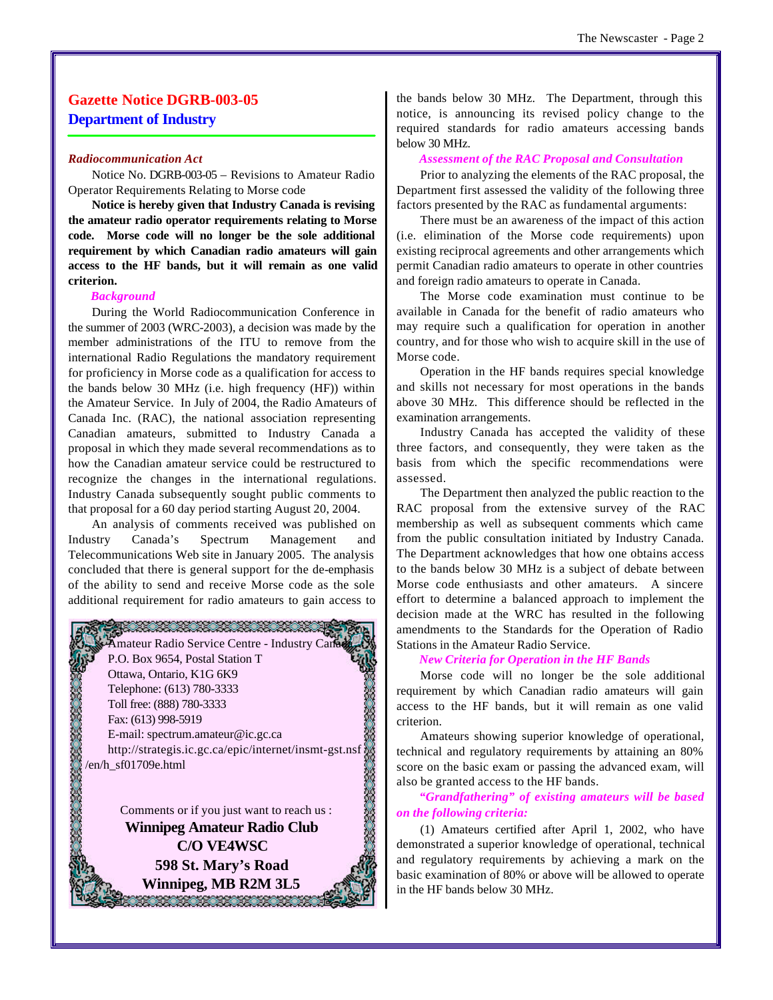# **Gazette Notice DGRB-003-05 Department of Industry**

#### *Radiocommunication Act*

Notice No. DGRB-003-05 – Revisions to Amateur Radio Operator Requirements Relating to Morse code

**Notice is hereby given that Industry Canada is revising the amateur radio operator requirements relating to Morse code. Morse code will no longer be the sole additional requirement by which Canadian radio amateurs will gain access to the HF bands, but it will remain as one valid criterion.**

#### *Background*

During the World Radiocommunication Conference in the summer of 2003 (WRC-2003), a decision was made by the member administrations of the ITU to remove from the international Radio Regulations the mandatory requirement for proficiency in Morse code as a qualification for access to the bands below 30 MHz (i.e. high frequency (HF)) within the Amateur Service. In July of 2004, the Radio Amateurs of Canada Inc. (RAC), the national association representing Canadian amateurs, submitted to Industry Canada a proposal in which they made several recommendations as to how the Canadian amateur service could be restructured to recognize the changes in the international regulations. Industry Canada subsequently sought public comments to that proposal for a 60 day period starting August 20, 2004.

An analysis of comments received was published on Industry Canada's Spectrum Management and Telecommunications Web site in January 2005. The analysis concluded that there is general support for the de-emphasis of the ability to send and receive Morse code as the sole additional requirement for radio amateurs to gain access to



**598 St. Mary's Road Winnipeg, MB R2M 3L5**

a a a ang ng ang ng ang ang ang

the bands below 30 MHz. The Department, through this notice, is announcing its revised policy change to the required standards for radio amateurs accessing bands below 30 MHz.

#### *Assessment of the RAC Proposal and Consultation*

Prior to analyzing the elements of the RAC proposal, the Department first assessed the validity of the following three factors presented by the RAC as fundamental arguments:

There must be an awareness of the impact of this action (i.e. elimination of the Morse code requirements) upon existing reciprocal agreements and other arrangements which permit Canadian radio amateurs to operate in other countries and foreign radio amateurs to operate in Canada.

The Morse code examination must continue to be available in Canada for the benefit of radio amateurs who may require such a qualification for operation in another country, and for those who wish to acquire skill in the use of Morse code.

Operation in the HF bands requires special knowledge and skills not necessary for most operations in the bands above 30 MHz. This difference should be reflected in the examination arrangements.

Industry Canada has accepted the validity of these three factors, and consequently, they were taken as the basis from which the specific recommendations were assessed.

The Department then analyzed the public reaction to the RAC proposal from the extensive survey of the RAC membership as well as subsequent comments which came from the public consultation initiated by Industry Canada. The Department acknowledges that how one obtains access to the bands below 30 MHz is a subject of debate between Morse code enthusiasts and other amateurs. A sincere effort to determine a balanced approach to implement the decision made at the WRC has resulted in the following amendments to the Standards for the Operation of Radio Stations in the Amateur Radio Service.

#### *New Criteria for Operation in the HF Bands*

Morse code will no longer be the sole additional requirement by which Canadian radio amateurs will gain access to the HF bands, but it will remain as one valid criterion.

Amateurs showing superior knowledge of operational, technical and regulatory requirements by attaining an 80% score on the basic exam or passing the advanced exam, will also be granted access to the HF bands.

*"Grandfathering" of existing amateurs will be based on the following criteria:*

(1) Amateurs certified after April 1, 2002, who have demonstrated a superior knowledge of operational, technical and regulatory requirements by achieving a mark on the basic examination of 80% or above will be allowed to operate in the HF bands below 30 MHz.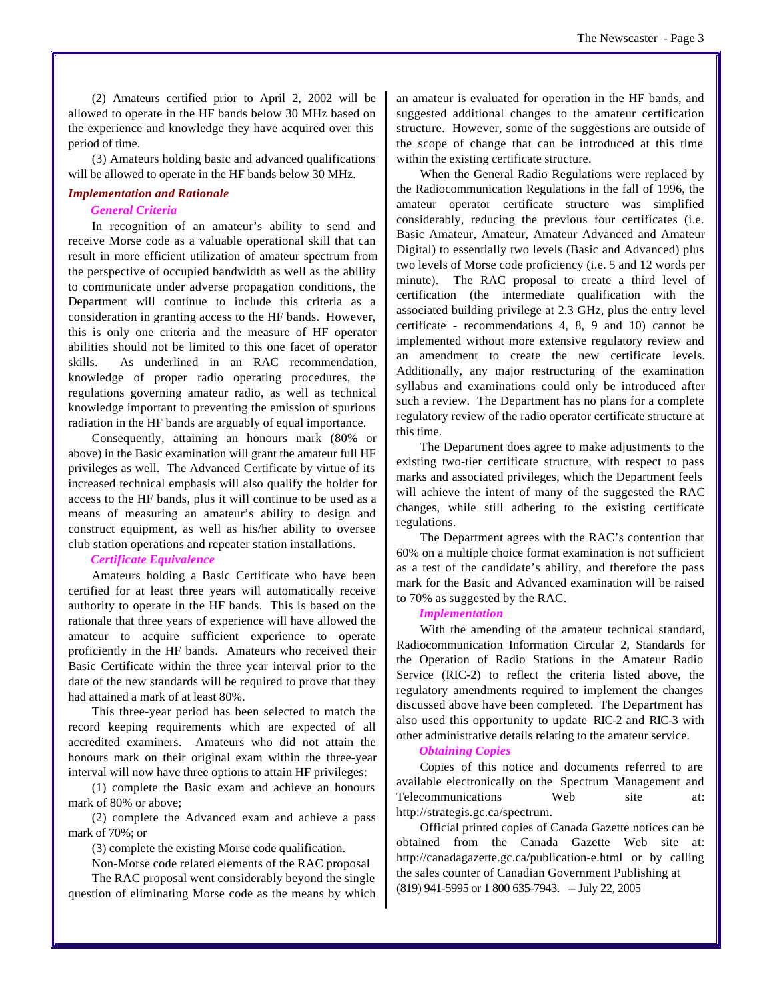(2) Amateurs certified prior to April 2, 2002 will be allowed to operate in the HF bands below 30 MHz based on the experience and knowledge they have acquired over this period of time.

(3) Amateurs holding basic and advanced qualifications will be allowed to operate in the HF bands below 30 MHz.

#### *Implementation and Rationale*

#### *General Criteria*

In recognition of an amateur's ability to send and receive Morse code as a valuable operational skill that can result in more efficient utilization of amateur spectrum from the perspective of occupied bandwidth as well as the ability to communicate under adverse propagation conditions, the Department will continue to include this criteria as a consideration in granting access to the HF bands. However, this is only one criteria and the measure of HF operator abilities should not be limited to this one facet of operator skills. As underlined in an RAC recommendation, knowledge of proper radio operating procedures, the regulations governing amateur radio, as well as technical knowledge important to preventing the emission of spurious radiation in the HF bands are arguably of equal importance.

Consequently, attaining an honours mark (80% or above) in the Basic examination will grant the amateur full HF privileges as well. The Advanced Certificate by virtue of its increased technical emphasis will also qualify the holder for access to the HF bands, plus it will continue to be used as a means of measuring an amateur's ability to design and construct equipment, as well as his/her ability to oversee club station operations and repeater station installations.

#### *Certificate Equivalence*

Amateurs holding a Basic Certificate who have been certified for at least three years will automatically receive authority to operate in the HF bands. This is based on the rationale that three years of experience will have allowed the amateur to acquire sufficient experience to operate proficiently in the HF bands. Amateurs who received their Basic Certificate within the three year interval prior to the date of the new standards will be required to prove that they had attained a mark of at least 80%.

This three-year period has been selected to match the record keeping requirements which are expected of all accredited examiners. Amateurs who did not attain the honours mark on their original exam within the three-year interval will now have three options to attain HF privileges:

(1) complete the Basic exam and achieve an honours mark of 80% or above;

(2) complete the Advanced exam and achieve a pass mark of 70%; or

(3) complete the existing Morse code qualification.

Non-Morse code related elements of the RAC proposal

The RAC proposal went considerably beyond the single question of eliminating Morse code as the means by which an amateur is evaluated for operation in the HF bands, and suggested additional changes to the amateur certification structure. However, some of the suggestions are outside of the scope of change that can be introduced at this time within the existing certificate structure.

When the General Radio Regulations were replaced by the Radiocommunication Regulations in the fall of 1996, the amateur operator certificate structure was simplified considerably, reducing the previous four certificates (i.e. Basic Amateur, Amateur, Amateur Advanced and Amateur Digital) to essentially two levels (Basic and Advanced) plus two levels of Morse code proficiency (i.e. 5 and 12 words per minute). The RAC proposal to create a third level of certification (the intermediate qualification with the associated building privilege at 2.3 GHz, plus the entry level certificate - recommendations 4, 8, 9 and 10) cannot be implemented without more extensive regulatory review and an amendment to create the new certificate levels. Additionally, any major restructuring of the examination syllabus and examinations could only be introduced after such a review. The Department has no plans for a complete regulatory review of the radio operator certificate structure at this time.

The Department does agree to make adjustments to the existing two-tier certificate structure, with respect to pass marks and associated privileges, which the Department feels will achieve the intent of many of the suggested the RAC changes, while still adhering to the existing certificate regulations.

The Department agrees with the RAC's contention that 60% on a multiple choice format examination is not sufficient as a test of the candidate's ability, and therefore the pass mark for the Basic and Advanced examination will be raised to 70% as suggested by the RAC.

#### *Implementation*

With the amending of the amateur technical standard, Radiocommunication Information Circular 2, Standards for the Operation of Radio Stations in the Amateur Radio Service (RIC-2) to reflect the criteria listed above, the regulatory amendments required to implement the changes discussed above have been completed. The Department has also used this opportunity to update RIC-2 and RIC-3 with other administrative details relating to the amateur service.

#### *Obtaining Copies*

Copies of this notice and documents referred to are available electronically on the Spectrum Management and Telecommunications Web site at: [http://strategis.gc.ca/spectrum.](http://strategis.gc.ca/spectrum)

Official printed copies of Canada Gazette notices can be obtained from the Canada Gazette Web site at: <http://canadagazette.gc.ca/publication-e.html> or by calling the sales counter of Canadian Government Publishing at (819) 941-5995 or 1 800 635-7943. -- July 22, 2005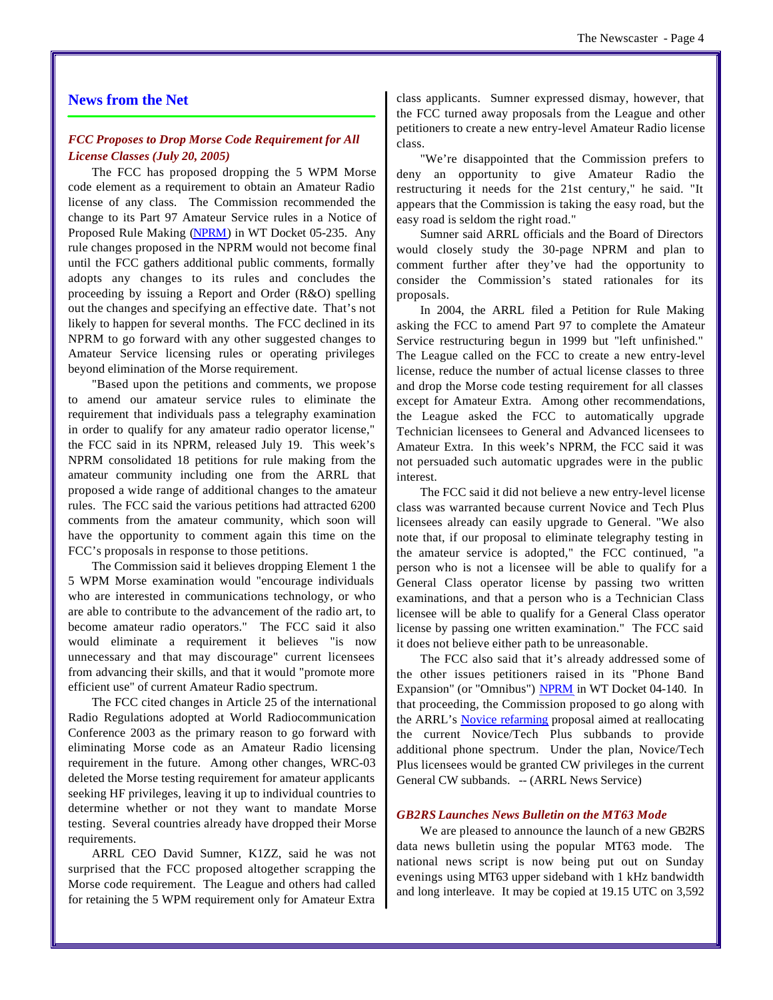#### **News from the Net**

#### *FCC Proposes to Drop Morse Code Requirement for All License Classes (July 20, 2005)*

The FCC has proposed dropping the 5 WPM Morse code element as a requirement to obtain an Amateur Radio license of any class. The Commission recommended the change to its Part 97 Amateur Service rules in a Notice of Proposed Rule Making (NPRM) in WT Docket 05-235. Any rule changes proposed in the NPRM would not become final until the FCC gathers additional public comments, formally adopts any changes to its rules and concludes the proceeding by issuing a Report and Order (R&O) spelling out the changes and specifying an effective date. That's not likely to happen for several months. The FCC declined in its NPRM to go forward with any other suggested changes to Amateur Service licensing rules or operating privileges beyond elimination of the Morse requirement.

"Based upon the petitions and comments, we propose to amend our amateur service rules to eliminate the requirement that individuals pass a telegraphy examination in order to qualify for any amateur radio operator license," the FCC said in its NPRM, released July 19. This week's NPRM consolidated 18 petitions for rule making from the amateur community including one from the ARRL that proposed a wide range of additional changes to the amateur rules. The FCC said the various petitions had attracted 6200 comments from the amateur community, which soon will have the opportunity to comment again this time on the FCC's proposals in response to those petitions.

The Commission said it believes dropping Element 1 the 5 WPM Morse examination would "encourage individuals who are interested in communications technology, or who are able to contribute to the advancement of the radio art, to become amateur radio operators." The FCC said it also would eliminate a requirement it believes "is now unnecessary and that may discourage" current licensees from advancing their skills, and that it would "promote more efficient use" of current Amateur Radio spectrum.

The FCC cited changes in Article 25 of the international Radio Regulations adopted at World Radiocommunication Conference 2003 as the primary reason to go forward with eliminating Morse code as an Amateur Radio licensing requirement in the future. Among other changes, WRC-03 deleted the Morse testing requirement for amateur applicants seeking HF privileges, leaving it up to individual countries to determine whether or not they want to mandate Morse testing. Several countries already have dropped their Morse requirements.

ARRL CEO David Sumner, K1ZZ, said he was not surprised that the FCC proposed altogether scrapping the Morse code requirement. The League and others had called for retaining the 5 WPM requirement only for Amateur Extra

class applicants. Sumner expressed dismay, however, that the FCC turned away proposals from the League and other petitioners to create a new entry-level Amateur Radio license class.

"We're disappointed that the Commission prefers to deny an opportunity to give Amateur Radio the restructuring it needs for the 21st century," he said. "It appears that the Commission is taking the easy road, but the easy road is seldom the right road."

Sumner said ARRL officials and the Board of Directors would closely study the 30-page NPRM and plan to comment further after they've had the opportunity to consider the Commission's stated rationales for its proposals.

In 2004, the ARRL filed a Petition for Rule Making asking the FCC to amend Part 97 to complete the Amateur Service restructuring begun in 1999 but "left unfinished." The League called on the FCC to create a new entry-level license, reduce the number of actual license classes to three and drop the Morse code testing requirement for all classes except for Amateur Extra. Among other recommendations, the League asked the FCC to automatically upgrade Technician licensees to General and Advanced licensees to Amateur Extra. In this week's NPRM, the FCC said it was not persuaded such automatic upgrades were in the public interest.

The FCC said it did not believe a new entry-level license class was warranted because current Novice and Tech Plus licensees already can easily upgrade to General. "We also note that, if our proposal to eliminate telegraphy testing in the amateur service is adopted," the FCC continued, "a person who is not a licensee will be able to qualify for a General Class operator license by passing two written examinations, and that a person who is a Technician Class licensee will be able to qualify for a General Class operator license by passing one written examination." The FCC said it does not believe either path to be unreasonable.

The FCC also said that it's already addressed some of the other issues petitioners raised in its "Phone Band Expansion" (or "Omnibus") NPRM in WT Docket 04-140. In that proceeding, the Commission proposed to go along with the ARRL's **Novice refarming** proposal aimed at reallocating the current Novice/Tech Plus subbands to provide additional phone spectrum. Under the plan, Novice/Tech Plus licensees would be granted CW privileges in the current General CW subbands. -- (ARRL News Service)

#### *GB2RS Launches News Bulletin on the MT63 Mode*

We are pleased to announce the launch of a new GB2RS data news bulletin using the popular MT63 mode. The national news script is now being put out on Sunday evenings using MT63 upper sideband with 1 kHz bandwidth and long interleave. It may be copied at 19.15 UTC on 3,592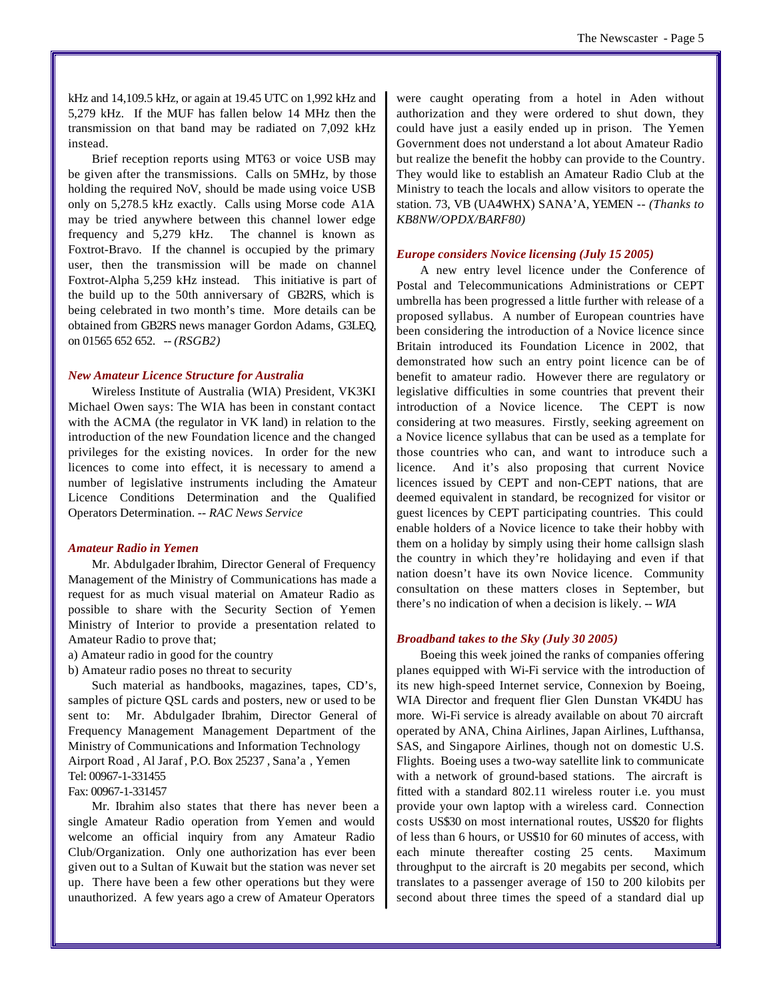kHz and 14,109.5 kHz, or again at 19.45 UTC on 1,992 kHz and 5,279 kHz. If the MUF has fallen below 14 MHz then the transmission on that band may be radiated on 7,092 kHz instead.

Brief reception reports using MT63 or voice USB may be given after the transmissions. Calls on 5MHz, by those holding the required NoV, should be made using voice USB only on 5,278.5 kHz exactly. Calls using Morse code A1A may be tried anywhere between this channel lower edge frequency and 5,279 kHz. The channel is known as Foxtrot-Bravo. If the channel is occupied by the primary user, then the transmission will be made on channel Foxtrot-Alpha 5,259 kHz instead. This initiative is part of the build up to the 50th anniversary of GB2RS, which is being celebrated in two month's time. More details can be obtained from GB2RS news manager Gordon Adams, G3LEQ, on 01565 652 652. *-- (RSGB2)*

#### *New Amateur Licence Structure for Australia*

Wireless Institute of Australia (WIA) President, VK3KI Michael Owen says: The WIA has been in constant contact with the ACMA (the regulator in VK land) in relation to the introduction of the new Foundation licence and the changed privileges for the existing novices. In order for the new licences to come into effect, it is necessary to amend a number of legislative instruments including the Amateur Licence Conditions Determination and the Qualified Operators Determination. *-- RAC News Service*

#### *Amateur Radio in Yemen*

Mr. Abdulgader Ibrahim, Director General of Frequency Management of the Ministry of Communications has made a request for as much visual material on Amateur Radio as possible to share with the Security Section of Yemen Ministry of Interior to provide a presentation related to Amateur Radio to prove that;

a) Amateur radio in good for the country

b) Amateur radio poses no threat to security

Such material as handbooks, magazines, tapes, CD's, samples of picture QSL cards and posters, new or used to be sent to: Mr. Abdulgader Ibrahim, Director General of Frequency Management Management Department of the Ministry of Communications and Information Technology Airport Road , Al Jaraf , P.O. Box 25237 , Sana'a , Yemen Tel: 00967-1-331455

Fax: 00967-1-331457

Mr. Ibrahim also states that there has never been a single Amateur Radio operation from Yemen and would welcome an official inquiry from any Amateur Radio Club/Organization. Only one authorization has ever been given out to a Sultan of Kuwait but the station was never set up. There have been a few other operations but they were unauthorized. A few years ago a crew of Amateur Operators

were caught operating from a hotel in Aden without authorization and they were ordered to shut down, they could have just a easily ended up in prison. The Yemen Government does not understand a lot about Amateur Radio but realize the benefit the hobby can provide to the Country. They would like to establish an Amateur Radio Club at the Ministry to teach the locals and allow visitors to operate the station. 73, VB (UA4WHX) SANA'A, YEMEN *-- (Thanks to KB8NW/OPDX/BARF80)*

#### *Europe considers Novice licensing (July 15 2005)*

A new entry level licence under the Conference of Postal and Telecommunications Administrations or CEPT umbrella has been progressed a little further with release of a proposed syllabus. A number of European countries have been considering the introduction of a Novice licence since Britain introduced its Foundation Licence in 2002, that demonstrated how such an entry point licence can be of benefit to amateur radio. However there are regulatory or legislative difficulties in some countries that prevent their introduction of a Novice licence. The CEPT is now considering at two measures. Firstly, seeking agreement on a Novice licence syllabus that can be used as a template for those countries who can, and want to introduce such a licence. And it's also proposing that current Novice licences issued by CEPT and non-CEPT nations, that are deemed equivalent in standard, be recognized for visitor or guest licences by CEPT participating countries. This could enable holders of a Novice licence to take their hobby with them on a holiday by simply using their home callsign slash the country in which they're holidaying and even if that nation doesn't have its own Novice licence. Community consultation on these matters closes in September, but there's no indication of when a decision is likely. *-- WIA*

#### *Broadband takes to the Sky (July 30 2005)*

Boeing this week joined the ranks of companies offering planes equipped with Wi-Fi service with the introduction of its new high-speed Internet service, Connexion by Boeing, WIA Director and frequent flier Glen Dunstan VK4DU has more. Wi-Fi service is already available on about 70 aircraft operated by ANA, China Airlines, Japan Airlines, Lufthansa, SAS, and Singapore Airlines, though not on domestic U.S. Flights. Boeing uses a two-way satellite link to communicate with a network of ground-based stations. The aircraft is fitted with a standard 802.11 wireless router i.e. you must provide your own laptop with a wireless card. Connection costs US\$30 on most international routes, US\$20 for flights of less than 6 hours, or US\$10 for 60 minutes of access, with each minute thereafter costing 25 cents. Maximum throughput to the aircraft is 20 megabits per second, which translates to a passenger average of 150 to 200 kilobits per second about three times the speed of a standard dial up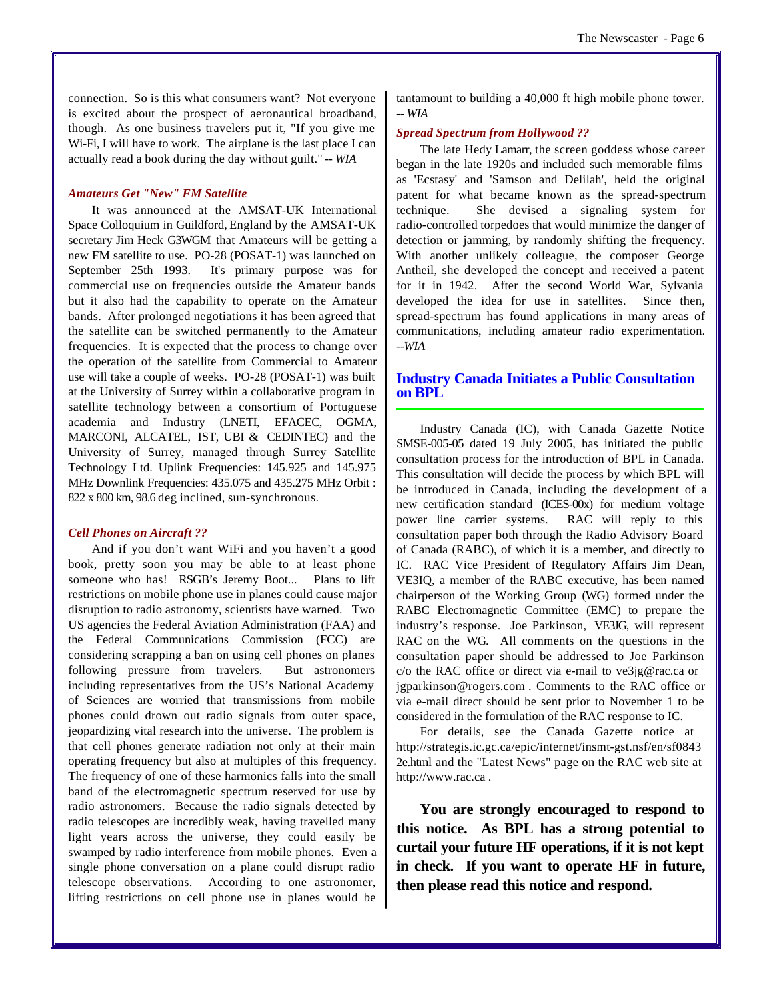connection. So is this what consumers want? Not everyone is excited about the prospect of aeronautical broadband, though. As one business travelers put it, "If you give me Wi-Fi, I will have to work. The airplane is the last place I can actually read a book during the day without guilt." *-- WIA*

#### *Amateurs Get "New" FM Satellite*

It was announced at the AMSAT-UK International Space Colloquium in Guildford, England by the AMSAT-UK secretary Jim Heck G3WGM that Amateurs will be getting a new FM satellite to use. PO-28 (POSAT-1) was launched on September 25th 1993. It's primary purpose was for commercial use on frequencies outside the Amateur bands but it also had the capability to operate on the Amateur bands. After prolonged negotiations it has been agreed that the satellite can be switched permanently to the Amateur frequencies. It is expected that the process to change over the operation of the satellite from Commercial to Amateur use will take a couple of weeks. PO-28 (POSAT-1) was built at the University of Surrey within a collaborative program in satellite technology between a consortium of Portuguese academia and Industry (LNETI, EFACEC, OGMA, MARCONI, ALCATEL, IST, UBI & CEDINTEC) and the University of Surrey, managed through Surrey Satellite Technology Ltd. Uplink Frequencies: 145.925 and 145.975 MHz Downlink Frequencies: 435.075 and 435.275 MHz Orbit : 822 x 800 km, 98.6 deg inclined, sun-synchronous.

#### *Cell Phones on Aircraft ??*

And if you don't want WiFi and you haven't a good book, pretty soon you may be able to at least phone someone who has! RSGB's Jeremy Boot... Plans to lift restrictions on mobile phone use in planes could cause major disruption to radio astronomy, scientists have warned. Two US agencies the Federal Aviation Administration (FAA) and the Federal Communications Commission (FCC) are considering scrapping a ban on using cell phones on planes following pressure from travelers. But astronomers including representatives from the US's National Academy of Sciences are worried that transmissions from mobile phones could drown out radio signals from outer space, jeopardizing vital research into the universe. The problem is that cell phones generate radiation not only at their main operating frequency but also at multiples of this frequency. The frequency of one of these harmonics falls into the small band of the electromagnetic spectrum reserved for use by radio astronomers. Because the radio signals detected by radio telescopes are incredibly weak, having travelled many light years across the universe, they could easily be swamped by radio interference from mobile phones. Even a single phone conversation on a plane could disrupt radio telescope observations. According to one astronomer, lifting restrictions on cell phone use in planes would be

#### *Spread Spectrum from Hollywood ??*

The late Hedy Lamarr, the screen goddess whose career began in the late 1920s and included such memorable films as 'Ecstasy' and 'Samson and Delilah', held the original patent for what became known as the spread-spectrum technique. She devised a signaling system for radio-controlled torpedoes that would minimize the danger of detection or jamming, by randomly shifting the frequency. With another unlikely colleague, the composer George Antheil, she developed the concept and received a patent for it in 1942. After the second World War, Sylvania developed the idea for use in satellites. Since then, spread-spectrum has found applications in many areas of communications, including amateur radio experimentation. *--WIA*

#### **Industry Canada Initiates a Public Consultation on BPL**

Industry Canada (IC), with Canada Gazette Notice SMSE-005-05 dated 19 July 2005, has initiated the public consultation process for the introduction of BPL in Canada. This consultation will decide the process by which BPL will be introduced in Canada, including the development of a new certification standard (ICES-00x) for medium voltage power line carrier systems. RAC will reply to this consultation paper both through the Radio Advisory Board of Canada (RABC), of which it is a member, and directly to IC. RAC Vice President of Regulatory Affairs Jim Dean, VE3IQ, a member of the RABC executive, has been named chairperson of the Working Group (WG) formed under the RABC Electromagnetic Committee (EMC) to prepare the industry's response. Joe Parkinson, VE3JG, will represent RAC on the WG. All comments on the questions in the consultation paper should be addressed to Joe Parkinson c/o the RAC office or direct via e-mail to ve3jg@rac.ca or jgparkinson@rogers.com . Comments to the RAC office or via e-mail direct should be sent prior to November 1 to be considered in the formulation of the RAC response to IC.

For details, see the Canada Gazette notice at <http://strategis.ic.gc.ca/epic/internet/insmt-gst.nsf/en/sf0843> 2e.html and the "Latest News" page on the RAC web site at <http://www.rac.ca>.

**You are strongly encouraged to respond to this notice. As BPL has a strong potential to curtail your future HF operations, if it is not kept in check. If you want to operate HF in future, then please read this notice and respond.**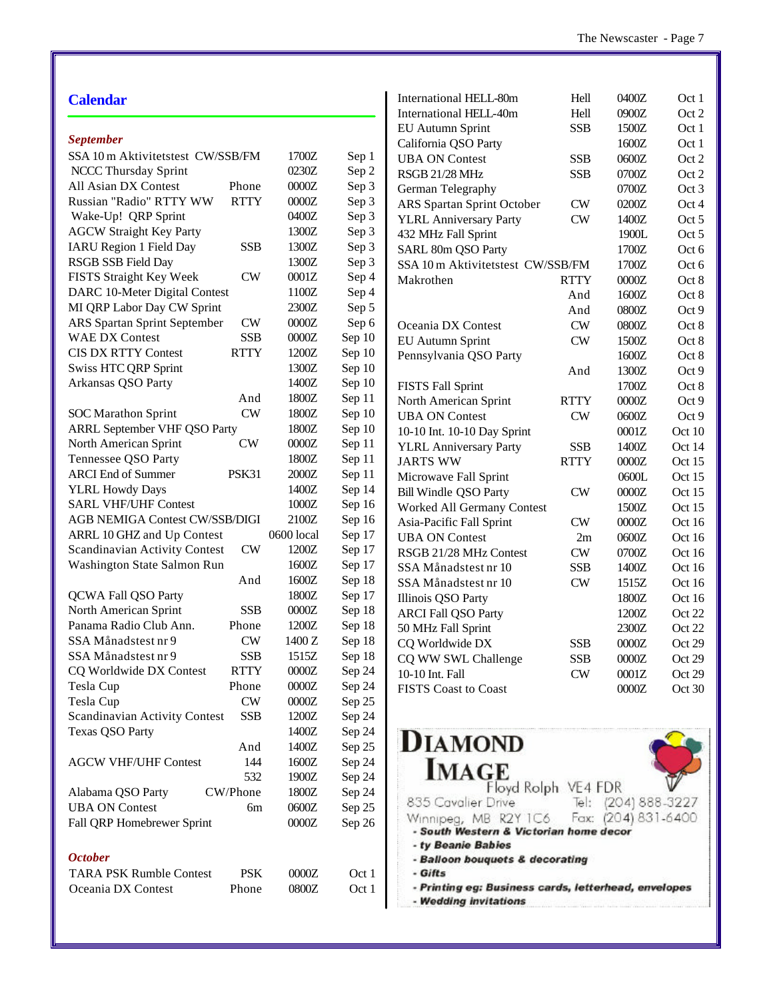| <b>Calendar</b>                                |            |                                 | International HELL-80m                               | Hell                    | 0400Z               | Oct 1  |
|------------------------------------------------|------------|---------------------------------|------------------------------------------------------|-------------------------|---------------------|--------|
|                                                |            |                                 | International HELL-40m                               | Hell                    | 0900Z               | Oct 2  |
|                                                |            |                                 | EU Autumn Sprint                                     | <b>SSB</b>              | 1500Z               | Oct 1  |
| <b>September</b>                               |            |                                 | California QSO Party                                 |                         | 1600Z               | Oct 1  |
| SSA 10 m Aktivitetstest CW/SSB/FM              | 1700Z      | Sep 1                           | <b>UBA ON Contest</b>                                | <b>SSB</b>              | 0600Z               | Oct 2  |
| NCCC Thursday Sprint                           | 0230Z      | Sep 2                           | RSGB 21/28 MHz                                       | <b>SSB</b>              | 0700Z               | Oct 2  |
| All Asian DX Contest<br>Phone                  | $0000Z$    | Sep 3                           | German Telegraphy                                    |                         | 0700Z               | Oct 3  |
| <b>RTTY</b><br>Russian "Radio" RTTY WW         | $0000Z$    | Sep 3                           | ARS Spartan Sprint October                           | <b>CW</b>               | 0200Z               | Oct 4  |
| Wake-Up! QRP Sprint                            | 0400Z      | Sep 3                           | <b>YLRL Anniversary Party</b>                        | <b>CW</b>               | 1400Z               | Oct 5  |
| <b>AGCW Straight Key Party</b>                 | 1300Z      | Sep 3                           | 432 MHz Fall Sprint                                  |                         | 1900L               | Oct 5  |
| <b>SSB</b><br><b>IARU Region 1 Field Day</b>   | 1300Z      | Sep 3                           | SARL 80m QSO Party                                   |                         | 1700Z               | Oct 6  |
| RSGB SSB Field Day                             | 1300Z      | Sep 3                           | SSA 10 m Aktivitetstest CW/SSB/FM                    |                         | 1700Z               | Oct 6  |
| FISTS Straight Key Week<br><b>CW</b>           | 0001Z      | Sep 4                           | Makrothen                                            | <b>RTTY</b>             | 0000Z               | Oct 8  |
| DARC 10-Meter Digital Contest                  | 1100Z      | Sep 4                           |                                                      | And                     | 1600Z               | Oct 8  |
| MI QRP Labor Day CW Sprint                     | 2300Z      | Sep 5                           |                                                      | And                     | 0800Z               | Oct 9  |
| ARS Spartan Sprint September<br>CW             | $0000Z$    | Sep 6                           | Oceania DX Contest                                   | <b>CW</b>               | 0800Z               | Oct 8  |
| <b>SSB</b><br><b>WAE DX Contest</b>            | $0000Z$    | Sep 10                          | <b>EU Autumn Sprint</b>                              | <b>CW</b>               | 1500Z               | Oct 8  |
| <b>CIS DX RTTY Contest</b><br><b>RTTY</b>      | 1200Z      | Sep 10                          | Pennsylvania QSO Party                               |                         | 1600Z               | Oct 8  |
| Swiss HTC QRP Sprint                           | 1300Z      | Sep 10                          |                                                      | And                     | 1300Z               | Oct 9  |
| Arkansas QSO Party                             | 1400Z      | Sep 10                          | <b>FISTS Fall Sprint</b>                             |                         | 1700Z               | Oct 8  |
| And                                            | 1800Z      | Sep 11                          | North American Sprint                                | <b>RTTY</b>             | 0000Z               | Oct 9  |
| <b>CW</b><br><b>SOC</b> Marathon Sprint        | 1800Z      | Sep 10                          | <b>UBA ON Contest</b>                                | <b>CW</b>               | 0600Z               | Oct 9  |
| <b>ARRL September VHF QSO Party</b>            | 1800Z      | Sep 10                          | 10-10 Int. 10-10 Day Sprint                          |                         | 0001Z               | Oct 10 |
| <b>CW</b><br>North American Sprint             | $0000Z$    | Sep 11                          | <b>YLRL Anniversary Party</b>                        | <b>SSB</b>              | 1400Z               | Oct 14 |
| Tennessee QSO Party                            | 1800Z      | Sep 11                          | <b>JARTS WW</b>                                      | <b>RTTY</b>             | $0000Z$             | Oct 15 |
| <b>ARCI</b> End of Summer<br>PSK31             | $2000Z$    | Sep 11                          | Microwave Fall Sprint                                |                         | 0600L               | Oct 15 |
| <b>YLRL Howdy Days</b>                         | 1400Z      | Sep 14                          | <b>Bill Windle QSO Party</b>                         | <b>CW</b>               | $0000Z$             | Oct 15 |
| <b>SARL VHF/UHF Contest</b>                    | $1000Z$    | Sep 16                          | Worked All Germany Contest                           |                         | 1500Z               | Oct 15 |
| <b>AGB NEMIGA Contest CW/SSB/DIGI</b>          | 2100Z      | Sep 16                          | Asia-Pacific Fall Sprint                             | <b>CW</b>               | $0000Z$             | Oct 16 |
| ARRL 10 GHZ and Up Contest                     | 0600 local | Sep 17                          | <b>UBA ON Contest</b>                                | 2m                      | 0600Z               | Oct 16 |
| ${\rm\bf CW}$<br>Scandinavian Activity Contest | 1200Z      | Sep 17                          | RSGB 21/28 MHz Contest                               | <b>CW</b>               | 0700Z               | Oct 16 |
| Washington State Salmon Run                    | 1600Z      | Sep 17                          | SSA Månadstest nr 10                                 | <b>SSB</b>              | 1400Z               | Oct 16 |
| And                                            | 1600Z      | Sep 18                          | SSA Månadstest nr 10                                 | <b>CW</b>               | 1515Z               | Oct 16 |
| QCWA Fall QSO Party                            | 1800Z      | Sep 17                          | Illinois QSO Party                                   |                         | 1800Z               | Oct 16 |
| <b>SSB</b><br>North American Sprint            | $0000Z$    | Sep 18                          | <b>ARCI Fall QSO Party</b>                           |                         | 1200Z               | Oct 22 |
| Panama Radio Club Ann.<br>Phone                | 1200Z      | Sep 18                          | 50 MHz Fall Sprint                                   |                         | 2300Z               | Oct 22 |
| SSA Månadstest nr 9<br><b>CW</b>               | 1400 Z     | Sep 18                          | CQ Worldwide DX                                      | <b>SSB</b>              | 0000Z               | Oct 29 |
| <b>SSB</b><br>SSA Månadstest nr 9              | 1515Z      | Sep 18                          |                                                      |                         |                     | Oct 29 |
| CQ Worldwide DX Contest<br><b>RTTY</b>         | 0000Z      | Sep 24                          | CQ WW SWL Challenge<br>10-10 Int. Fall               | <b>SSB</b><br><b>CW</b> | 0000Z<br>0001Z      |        |
| Tesla Cup<br>Phone                             | 0000Z      | Sep 24                          | <b>FISTS Coast to Coast</b>                          |                         | $0000Z$             | Oct 29 |
| Tesla Cup<br><b>CW</b>                         | $0000Z$    | Sep 25                          |                                                      |                         |                     | Oct 30 |
| Scandinavian Activity Contest<br><b>SSB</b>    | 1200Z      | Sep 24                          |                                                      |                         |                     |        |
| <b>Texas QSO Party</b>                         | 1400Z      | Sep 24                          |                                                      |                         |                     |        |
| And                                            | 1400Z      | Sep 25                          | <b>DIAMOND</b>                                       |                         |                     |        |
| <b>AGCW VHF/UHF Contest</b><br>144             | 1600Z      | Sep 24                          |                                                      |                         |                     |        |
| 532                                            | 1900Z      | Sep 24                          | <b>IMAGE</b>                                         |                         |                     |        |
| CW/Phone<br>Alabama QSO Party                  | 1800Z      | Sep 24                          | Floyd Rolph VE4 FDR                                  |                         |                     |        |
| <b>UBA ON Contest</b><br>бm                    | $0600Z$    | Sep 25                          | 835 Cavalier Drive                                   | $\exists$ e $ $ :       | (204) 888-3227      |        |
| Fall QRP Homebrewer Sprint                     | $0000Z$    |                                 | Winnipeg, MB R2Y 1C6                                 |                         | Fax: (204) 831-6400 |        |
|                                                |            | Sep 26                          | - South Western & Victorian home decor               |                         |                     |        |
|                                                |            |                                 | - ty Beanie Babies                                   |                         |                     |        |
| <b>October</b>                                 |            | - Balloon bouquets & decorating |                                                      |                         |                     |        |
| <b>TARA PSK Rumble Contest</b><br><b>PSK</b>   | 0000Z      | Oct 1                           | - Gifts                                              |                         |                     |        |
| Oceania DX Contest<br>Phone                    | 0800Z      | Oct 1                           | - Printing eg: Business cards, letterhead, envelopes |                         |                     |        |
|                                                |            |                                 | - Wedding invitations                                |                         |                     |        |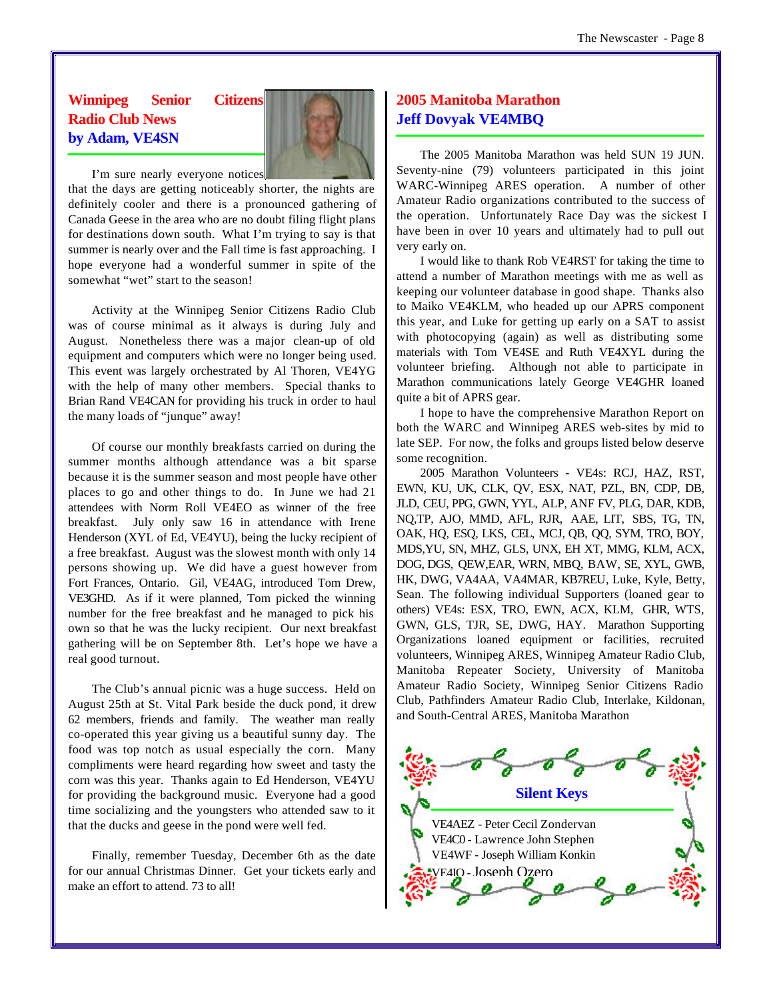# **Winnipeg Senior Citizens Radio Club News by Adam, VE4SN**



I'm sure nearly everyone notices

that the days are getting noticeably shorter, the nights are definitely cooler and there is a pronounced gathering of Canada Geese in the area who are no doubt filing flight plans for destinations down south. What I'm trying to say is that summer is nearly over and the Fall time is fast approaching. I hope everyone had a wonderful summer in spite of the somewhat "wet" start to the season!

Activity at the Winnipeg Senior Citizens Radio Club was of course minimal as it always is during July and August. Nonetheless there was a major clean-up of old equipment and computers which were no longer being used. This event was largely orchestrated by Al Thoren, VE4YG with the help of many other members. Special thanks to Brian Rand VE4CAN for providing his truck in order to haul the many loads of "junque" away!

Of course our monthly breakfasts carried on during the summer months although attendance was a bit sparse because it is the summer season and most people have other places to go and other things to do. In June we had 21 attendees with Norm Roll VE4EO as winner of the free breakfast. July only saw 16 in attendance with Irene Henderson (XYL of Ed, VE4YU), being the lucky recipient of a free breakfast. August was the slowest month with only 14 persons showing up. We did have a guest however from Fort Frances, Ontario. Gil, VE4AG, introduced Tom Drew, VE3GHD. As if it were planned, Tom picked the winning number for the free breakfast and he managed to pick his own so that he was the lucky recipient. Our next breakfast gathering will be on September 8th. Let's hope we have a real good turnout.

The Club's annual picnic was a huge success. Held on August 25th at St. Vital Park beside the duck pond, it drew 62 members, friends and family. The weather man really co-operated this year giving us a beautiful sunny day. The food was top notch as usual especially the corn. Many compliments were heard regarding how sweet and tasty the corn was this year. Thanks again to Ed Henderson, VE4YU for providing the background music. Everyone had a good time socializing and the youngsters who attended saw to it that the ducks and geese in the pond were well fed.

Finally, remember Tuesday, December 6th as the date for our annual Christmas Dinner. Get your tickets early and make an effort to attend. 73 to all!

# **2005 Manitoba Marathon Jeff Dovyak VE4MBQ**

The 2005 Manitoba Marathon was held SUN 19 JUN. Seventy-nine (79) volunteers participated in this joint WARC-Winnipeg ARES operation. A number of other Amateur Radio organizations contributed to the success of the operation. Unfortunately Race Day was the sickest I have been in over 10 years and ultimately had to pull out very early on.

I would like to thank Rob VE4RST for taking the time to attend a number of Marathon meetings with me as well as keeping our volunteer database in good shape. Thanks also to Maiko VE4KLM, who headed up our APRS component this year, and Luke for getting up early on a SAT to assist with photocopying (again) as well as distributing some materials with Tom VE4SE and Ruth VE4XYL during the volunteer briefing. Although not able to participate in Marathon communications lately George VE4GHR loaned quite a bit of APRS gear.

I hope to have the comprehensive Marathon Report on both the WARC and Winnipeg ARES web-sites by mid to late SEP. For now, the folks and groups listed below deserve some recognition.

2005 Marathon Volunteers - VE4s: RCJ, HAZ, RST, EWN, KU, UK, CLK, QV, ESX, NAT, PZL, BN, CDP, DB, JLD, CEU, PPG, GWN, YYL, ALP, ANF FV, PLG, DAR, KDB, NQ,TP, AJO, MMD, AFL, RJR, AAE, LIT, SBS, TG, TN, OAK, HQ, ESQ, LKS, CEL, MCJ, QB, QQ, SYM, TRO, BOY, MDS,YU, SN, MHZ, GLS, UNX, EH XT, MMG, KLM, ACX, DOG, DGS, QEW,EAR, WRN, MBQ, BAW, SE, XYL, GWB, HK, DWG, VA4AA, VA4MAR, KB7REU, Luke, Kyle, Betty, Sean. The following individual Supporters (loaned gear to others) VE4s: ESX, TRO, EWN, ACX, KLM, GHR, WTS, GWN, GLS, TJR, SE, DWG, HAY. Marathon Supporting Organizations loaned equipment or facilities, recruited volunteers, Winnipeg ARES, Winnipeg Amateur Radio Club, Manitoba Repeater Society, University of Manitoba Amateur Radio Society, Winnipeg Senior Citizens Radio Club, Pathfinders Amateur Radio Club, Interlake, Kildonan, and South-Central ARES, Manitoba Marathon